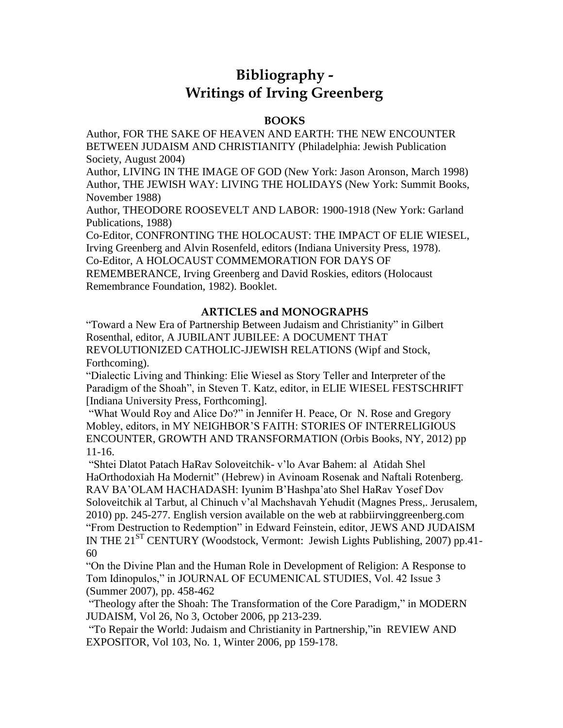## **Bibliography - Writings of Irving Greenberg**

## **BOOKS**

Author, FOR THE SAKE OF HEAVEN AND EARTH: THE NEW ENCOUNTER BETWEEN JUDAISM AND CHRISTIANITY (Philadelphia: Jewish Publication Society, August 2004)

Author, LIVING IN THE IMAGE OF GOD (New York: Jason Aronson, March 1998) Author, THE JEWISH WAY: LIVING THE HOLIDAYS (New York: Summit Books, November 1988)

Author, THEODORE ROOSEVELT AND LABOR: 1900-1918 (New York: Garland Publications, 1988)

Co-Editor, CONFRONTING THE HOLOCAUST: THE IMPACT OF ELIE WIESEL, Irving Greenberg and Alvin Rosenfeld, editors (Indiana University Press, 1978).

Co-Editor, A HOLOCAUST COMMEMORATION FOR DAYS OF

REMEMBERANCE, Irving Greenberg and David Roskies, editors (Holocaust Remembrance Foundation, 1982). Booklet.

## **ARTICLES and MONOGRAPHS**

"Toward a New Era of Partnership Between Judaism and Christianity" in Gilbert Rosenthal, editor, A JUBILANT JUBILEE: A DOCUMENT THAT REVOLUTIONIZED CATHOLIC-JJEWISH RELATIONS (Wipf and Stock, Forthcoming).

"Dialectic Living and Thinking: Elie Wiesel as Story Teller and Interpreter of the Paradigm of the Shoah", in Steven T. Katz, editor, in ELIE WIESEL FESTSCHRIFT [Indiana University Press, Forthcoming].

"What Would Roy and Alice Do?" in Jennifer H. Peace, Or N. Rose and Gregory Mobley, editors, in MY NEIGHBOR'S FAITH: STORIES OF INTERRELIGIOUS ENCOUNTER, GROWTH AND TRANSFORMATION (Orbis Books, NY, 2012) pp 11-16.

"Shtei Dlatot Patach HaRav Soloveitchik- v'lo Avar Bahem: al Atidah Shel HaOrthodoxiah Ha Modernit" (Hebrew) in Avinoam Rosenak and Naftali Rotenberg. RAV BA'OLAM HACHADASH: Iyunim B'Hashpa'ato Shel HaRav Yosef Dov Soloveitchik al Tarbut, al Chinuch v'al Machshavah Yehudit (Magnes Press,. Jerusalem, 2010) pp. 245-277. English version available on the web at rabbiirvinggreenberg.com "From Destruction to Redemption" in Edward Feinstein, editor, JEWS AND JUDAISM IN THE 21<sup>ST</sup> CENTURY (Woodstock, Vermont: Jewish Lights Publishing, 2007) pp.41-60

"On the Divine Plan and the Human Role in Development of Religion: A Response to Tom Idinopulos," in JOURNAL OF ECUMENICAL STUDIES, Vol. 42 Issue 3 (Summer 2007), pp. 458-462

"Theology after the Shoah: The Transformation of the Core Paradigm," in MODERN JUDAISM, Vol 26, No 3, October 2006, pp 213-239.

"To Repair the World: Judaism and Christianity in Partnership,"in REVIEW AND EXPOSITOR, Vol 103, No. 1, Winter 2006, pp 159-178.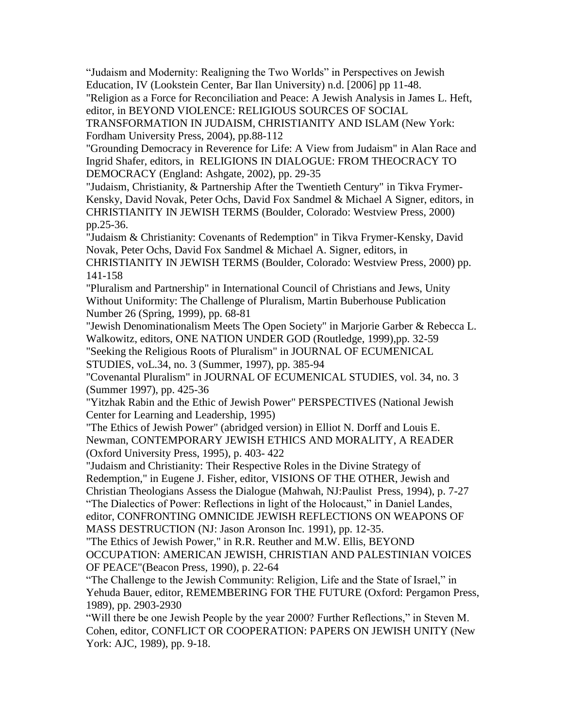"Judaism and Modernity: Realigning the Two Worlds" in Perspectives on Jewish Education, IV (Lookstein Center, Bar Ilan University) n.d. [2006] pp 11-48.

"Religion as a Force for Reconciliation and Peace: A Jewish Analysis in James L. Heft, editor, in BEYOND VIOLENCE: RELIGIOUS SOURCES OF SOCIAL

TRANSFORMATION IN JUDAISM, CHRISTIANITY AND ISLAM (New York: Fordham University Press, 2004), pp.88-112

"Grounding Democracy in Reverence for Life: A View from Judaism" in Alan Race and Ingrid Shafer, editors, in RELIGIONS IN DIALOGUE: FROM THEOCRACY TO DEMOCRACY (England: Ashgate, 2002), pp. 29-35

"Judaism, Christianity, & Partnership After the Twentieth Century" in Tikva Frymer-Kensky, David Novak, Peter Ochs, David Fox Sandmel & Michael A Signer, editors, in CHRISTIANITY IN JEWISH TERMS (Boulder, Colorado: Westview Press, 2000) pp.25-36.

"Judaism & Christianity: Covenants of Redemption" in Tikva Frymer-Kensky, David Novak, Peter Ochs, David Fox Sandmel & Michael A. Signer, editors, in

CHRISTIANITY IN JEWISH TERMS (Boulder, Colorado: Westview Press, 2000) pp. 141-158

"Pluralism and Partnership" in International Council of Christians and Jews, Unity Without Uniformity: The Challenge of Pluralism, Martin Buberhouse Publication Number 26 (Spring, 1999), pp. 68-81

"Jewish Denominationalism Meets The Open Society" in Marjorie Garber & Rebecca L. Walkowitz, editors, ONE NATION UNDER GOD (Routledge, 1999),pp. 32-59 "Seeking the Religious Roots of Pluralism" in JOURNAL OF ECUMENICAL

STUDIES, voL.34, no. 3 (Summer, 1997), pp. 385-94

"Covenantal Pluralism" in JOURNAL OF ECUMENICAL STUDIES, vol. 34, no. 3 (Summer 1997), pp. 425-36

"Yitzhak Rabin and the Ethic of Jewish Power" PERSPECTIVES (National Jewish Center for Learning and Leadership, 1995)

"The Ethics of Jewish Power" (abridged version) in Elliot N. Dorff and Louis E. Newman, CONTEMPORARY JEWISH ETHICS AND MORALITY, A READER (Oxford University Press, 1995), p. 403- 422

"Judaism and Christianity: Their Respective Roles in the Divine Strategy of Redemption," in Eugene J. Fisher, editor, VISIONS OF THE OTHER, Jewish and Christian Theologians Assess the Dialogue (Mahwah, NJ:Paulist Press, 1994), p. 7-27 "The Dialectics of Power: Reflections in light of the Holocaust," in Daniel Landes, editor, CONFRONTING OMNICIDE JEWISH REFLECTIONS ON WEAPONS OF

MASS DESTRUCTION (NJ: Jason Aronson Inc. 1991), pp. 12-35.

"The Ethics of Jewish Power," in R.R. Reuther and M.W. Ellis, BEYOND OCCUPATION: AMERICAN JEWISH, CHRISTIAN AND PALESTINIAN VOICES

OF PEACE"(Beacon Press, 1990), p. 22-64

"The Challenge to the Jewish Community: Religion, Life and the State of Israel," in Yehuda Bauer, editor, REMEMBERING FOR THE FUTURE (Oxford: Pergamon Press, 1989), pp. 2903-2930

"Will there be one Jewish People by the year 2000? Further Reflections," in Steven M. Cohen, editor, CONFLICT OR COOPERATION: PAPERS ON JEWISH UNITY (New York: AJC, 1989), pp. 9-18.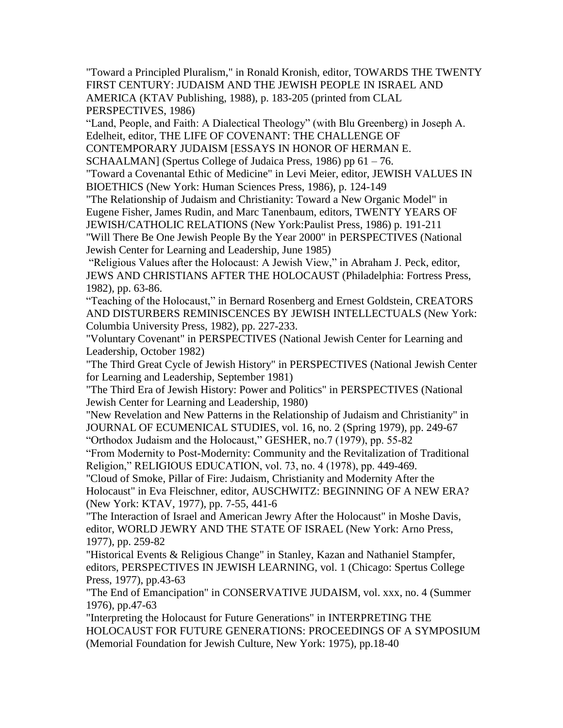"Toward a Principled Pluralism," in Ronald Kronish, editor, TOWARDS THE TWENTY FIRST CENTURY: JUDAISM AND THE JEWISH PEOPLE IN ISRAEL AND AMERICA (KTAV Publishing, 1988), p. 183-205 (printed from CLAL PERSPECTIVES, 1986)

"Land, People, and Faith: A Dialectical Theology" (with Blu Greenberg) in Joseph A. Edelheit, editor, THE LIFE OF COVENANT: THE CHALLENGE OF

CONTEMPORARY JUDAISM [ESSAYS IN HONOR OF HERMAN E.

SCHAALMAN] (Spertus College of Judaica Press, 1986) pp 61 – 76.

"Toward a Covenantal Ethic of Medicine" in Levi Meier, editor, JEWISH VALUES IN BIOETHICS (New York: Human Sciences Press, 1986), p. 124-149

"The Relationship of Judaism and Christianity: Toward a New Organic Model" in Eugene Fisher, James Rudin, and Marc Tanenbaum, editors, TWENTY YEARS OF JEWISH/CATHOLIC RELATIONS (New York:Paulist Press, 1986) p. 191-211

"Will There Be One Jewish People By the Year 2000" in PERSPECTIVES (National Jewish Center for Learning and Leadership, June 1985)

"Religious Values after the Holocaust: A Jewish View," in Abraham J. Peck, editor, JEWS AND CHRISTIANS AFTER THE HOLOCAUST (Philadelphia: Fortress Press, 1982), pp. 63-86.

"Teaching of the Holocaust," in Bernard Rosenberg and Ernest Goldstein, CREATORS AND DISTURBERS REMINISCENCES BY JEWISH INTELLECTUALS (New York: Columbia University Press, 1982), pp. 227-233.

"Voluntary Covenant" in PERSPECTIVES (National Jewish Center for Learning and Leadership, October 1982)

"The Third Great Cycle of Jewish History" in PERSPECTIVES (National Jewish Center for Learning and Leadership, September 1981)

"The Third Era of Jewish History: Power and Politics" in PERSPECTIVES (National Jewish Center for Learning and Leadership, 1980)

"New Revelation and New Patterns in the Relationship of Judaism and Christianity" in JOURNAL OF ECUMENICAL STUDIES, vol. 16, no. 2 (Spring 1979), pp. 249-67 "Orthodox Judaism and the Holocaust," GESHER, no.7 (1979), pp. 55-82

"From Modernity to Post-Modernity: Community and the Revitalization of Traditional Religion," RELIGIOUS EDUCATION, vol. 73, no. 4 (1978), pp. 449-469.

"Cloud of Smoke, Pillar of Fire: Judaism, Christianity and Modernity After the Holocaust" in Eva Fleischner, editor, AUSCHWITZ: BEGINNING OF A NEW ERA? (New York: KTAV, 1977), pp. 7-55, 441-6

"The Interaction of Israel and American Jewry After the Holocaust" in Moshe Davis, editor, WORLD JEWRY AND THE STATE OF ISRAEL (New York: Arno Press, 1977), pp. 259-82

"Historical Events & Religious Change" in Stanley, Kazan and Nathaniel Stampfer, editors, PERSPECTIVES IN JEWISH LEARNING, vol. 1 (Chicago: Spertus College Press, 1977), pp.43-63

"The End of Emancipation" in CONSERVATIVE JUDAISM, vol. xxx, no. 4 (Summer 1976), pp.47-63

"Interpreting the Holocaust for Future Generations" in INTERPRETING THE HOLOCAUST FOR FUTURE GENERATIONS: PROCEEDINGS OF A SYMPOSIUM (Memorial Foundation for Jewish Culture, New York: 1975), pp.18-40